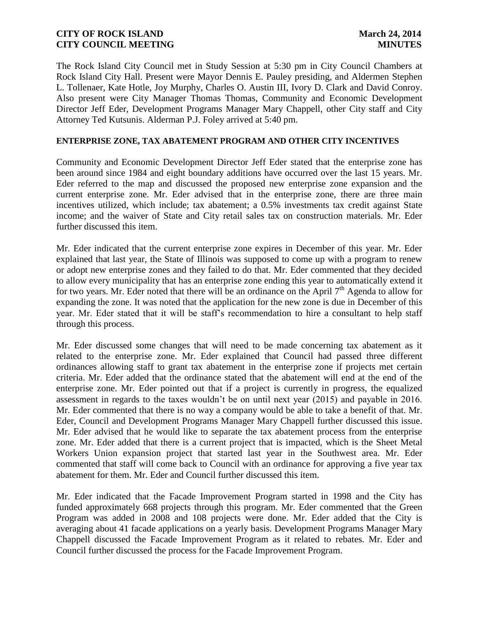The Rock Island City Council met in Study Session at 5:30 pm in City Council Chambers at Rock Island City Hall. Present were Mayor Dennis E. Pauley presiding, and Aldermen Stephen L. Tollenaer, Kate Hotle, Joy Murphy, Charles O. Austin III, Ivory D. Clark and David Conroy. Also present were City Manager Thomas Thomas, Community and Economic Development Director Jeff Eder, Development Programs Manager Mary Chappell, other City staff and City Attorney Ted Kutsunis. Alderman P.J. Foley arrived at 5:40 pm.

# **ENTERPRISE ZONE, TAX ABATEMENT PROGRAM AND OTHER CITY INCENTIVES**

Community and Economic Development Director Jeff Eder stated that the enterprise zone has been around since 1984 and eight boundary additions have occurred over the last 15 years. Mr. Eder referred to the map and discussed the proposed new enterprise zone expansion and the current enterprise zone. Mr. Eder advised that in the enterprise zone, there are three main incentives utilized, which include; tax abatement; a 0.5% investments tax credit against State income; and the waiver of State and City retail sales tax on construction materials. Mr. Eder further discussed this item.

Mr. Eder indicated that the current enterprise zone expires in December of this year. Mr. Eder explained that last year, the State of Illinois was supposed to come up with a program to renew or adopt new enterprise zones and they failed to do that. Mr. Eder commented that they decided to allow every municipality that has an enterprise zone ending this year to automatically extend it for two years. Mr. Eder noted that there will be an ordinance on the April 7<sup>th</sup> Agenda to allow for expanding the zone. It was noted that the application for the new zone is due in December of this year. Mr. Eder stated that it will be staff's recommendation to hire a consultant to help staff through this process.

Mr. Eder discussed some changes that will need to be made concerning tax abatement as it related to the enterprise zone. Mr. Eder explained that Council had passed three different ordinances allowing staff to grant tax abatement in the enterprise zone if projects met certain criteria. Mr. Eder added that the ordinance stated that the abatement will end at the end of the enterprise zone. Mr. Eder pointed out that if a project is currently in progress, the equalized assessment in regards to the taxes wouldn't be on until next year (2015) and payable in 2016. Mr. Eder commented that there is no way a company would be able to take a benefit of that. Mr. Eder, Council and Development Programs Manager Mary Chappell further discussed this issue. Mr. Eder advised that he would like to separate the tax abatement process from the enterprise zone. Mr. Eder added that there is a current project that is impacted, which is the Sheet Metal Workers Union expansion project that started last year in the Southwest area. Mr. Eder commented that staff will come back to Council with an ordinance for approving a five year tax abatement for them. Mr. Eder and Council further discussed this item.

Mr. Eder indicated that the Facade Improvement Program started in 1998 and the City has funded approximately 668 projects through this program. Mr. Eder commented that the Green Program was added in 2008 and 108 projects were done. Mr. Eder added that the City is averaging about 41 facade applications on a yearly basis. Development Programs Manager Mary Chappell discussed the Facade Improvement Program as it related to rebates. Mr. Eder and Council further discussed the process for the Facade Improvement Program.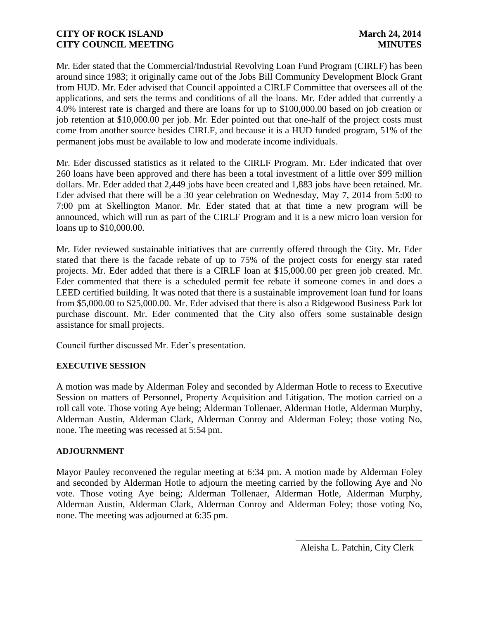Mr. Eder stated that the Commercial/Industrial Revolving Loan Fund Program (CIRLF) has been around since 1983; it originally came out of the Jobs Bill Community Development Block Grant from HUD. Mr. Eder advised that Council appointed a CIRLF Committee that oversees all of the applications, and sets the terms and conditions of all the loans. Mr. Eder added that currently a 4.0% interest rate is charged and there are loans for up to \$100,000.00 based on job creation or job retention at \$10,000.00 per job. Mr. Eder pointed out that one-half of the project costs must come from another source besides CIRLF, and because it is a HUD funded program, 51% of the permanent jobs must be available to low and moderate income individuals.

Mr. Eder discussed statistics as it related to the CIRLF Program. Mr. Eder indicated that over 260 loans have been approved and there has been a total investment of a little over \$99 million dollars. Mr. Eder added that 2,449 jobs have been created and 1,883 jobs have been retained. Mr. Eder advised that there will be a 30 year celebration on Wednesday, May 7, 2014 from 5:00 to 7:00 pm at Skellington Manor. Mr. Eder stated that at that time a new program will be announced, which will run as part of the CIRLF Program and it is a new micro loan version for loans up to \$10,000.00.

Mr. Eder reviewed sustainable initiatives that are currently offered through the City. Mr. Eder stated that there is the facade rebate of up to 75% of the project costs for energy star rated projects. Mr. Eder added that there is a CIRLF loan at \$15,000.00 per green job created. Mr. Eder commented that there is a scheduled permit fee rebate if someone comes in and does a LEED certified building. It was noted that there is a sustainable improvement loan fund for loans from \$5,000.00 to \$25,000.00. Mr. Eder advised that there is also a Ridgewood Business Park lot purchase discount. Mr. Eder commented that the City also offers some sustainable design assistance for small projects.

Council further discussed Mr. Eder's presentation.

# **EXECUTIVE SESSION**

A motion was made by Alderman Foley and seconded by Alderman Hotle to recess to Executive Session on matters of Personnel, Property Acquisition and Litigation. The motion carried on a roll call vote. Those voting Aye being; Alderman Tollenaer, Alderman Hotle, Alderman Murphy, Alderman Austin, Alderman Clark, Alderman Conroy and Alderman Foley; those voting No, none. The meeting was recessed at 5:54 pm.

### **ADJOURNMENT**

Mayor Pauley reconvened the regular meeting at 6:34 pm. A motion made by Alderman Foley and seconded by Alderman Hotle to adjourn the meeting carried by the following Aye and No vote. Those voting Aye being; Alderman Tollenaer, Alderman Hotle, Alderman Murphy, Alderman Austin, Alderman Clark, Alderman Conroy and Alderman Foley; those voting No, none. The meeting was adjourned at 6:35 pm.

 $\frac{1}{2}$  , and the set of the set of the set of the set of the set of the set of the set of the set of the set of the set of the set of the set of the set of the set of the set of the set of the set of the set of the set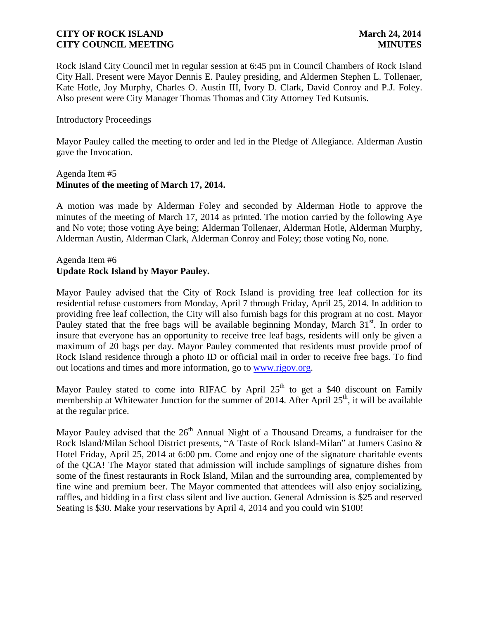Rock Island City Council met in regular session at 6:45 pm in Council Chambers of Rock Island City Hall. Present were Mayor Dennis E. Pauley presiding, and Aldermen Stephen L. Tollenaer, Kate Hotle, Joy Murphy, Charles O. Austin III, Ivory D. Clark, David Conroy and P.J. Foley. Also present were City Manager Thomas Thomas and City Attorney Ted Kutsunis.

### Introductory Proceedings

Mayor Pauley called the meeting to order and led in the Pledge of Allegiance. Alderman Austin gave the Invocation.

### Agenda Item #5 **Minutes of the meeting of March 17, 2014.**

A motion was made by Alderman Foley and seconded by Alderman Hotle to approve the minutes of the meeting of March 17, 2014 as printed. The motion carried by the following Aye and No vote; those voting Aye being; Alderman Tollenaer, Alderman Hotle, Alderman Murphy, Alderman Austin, Alderman Clark, Alderman Conroy and Foley; those voting No, none.

# Agenda Item #6 **Update Rock Island by Mayor Pauley.**

Mayor Pauley advised that the City of Rock Island is providing free leaf collection for its residential refuse customers from Monday, April 7 through Friday, April 25, 2014. In addition to providing free leaf collection, the City will also furnish bags for this program at no cost. Mayor Pauley stated that the free bags will be available beginning Monday, March 31<sup>st</sup>. In order to insure that everyone has an opportunity to receive free leaf bags, residents will only be given a maximum of 20 bags per day. Mayor Pauley commented that residents must provide proof of Rock Island residence through a photo ID or official mail in order to receive free bags. To find out locations and times and more information, go to [www.rigov.org.](http://www.rigov.org/)

Mayor Pauley stated to come into RIFAC by April  $25<sup>th</sup>$  to get a \$40 discount on Family membership at Whitewater Junction for the summer of 2014. After April 25<sup>th</sup>, it will be available at the regular price.

Mayor Pauley advised that the  $26<sup>th</sup>$  Annual Night of a Thousand Dreams, a fundraiser for the Rock Island/Milan School District presents, "A Taste of Rock Island-Milan" at Jumers Casino & Hotel Friday, April 25, 2014 at 6:00 pm. Come and enjoy one of the signature charitable events of the QCA! The Mayor stated that admission will include samplings of signature dishes from some of the finest restaurants in Rock Island, Milan and the surrounding area, complemented by fine wine and premium beer. The Mayor commented that attendees will also enjoy socializing, raffles, and bidding in a first class silent and live auction. General Admission is \$25 and reserved Seating is \$30. Make your reservations by April 4, 2014 and you could win \$100!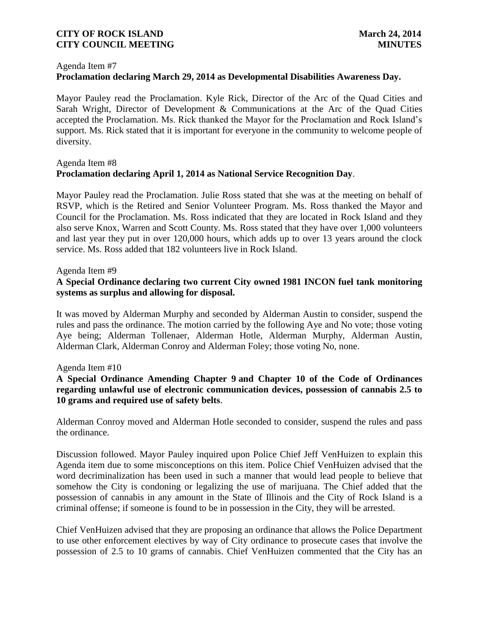#### Agenda Item #7

# **Proclamation declaring March 29, 2014 as Developmental Disabilities Awareness Day.**

Mayor Pauley read the Proclamation. Kyle Rick, Director of the Arc of the Quad Cities and Sarah Wright, Director of Development & Communications at the Arc of the Quad Cities accepted the Proclamation. Ms. Rick thanked the Mayor for the Proclamation and Rock Island's support. Ms. Rick stated that it is important for everyone in the community to welcome people of diversity.

## Agenda Item #8 **Proclamation declaring April 1, 2014 as National Service Recognition Day**.

Mayor Pauley read the Proclamation. Julie Ross stated that she was at the meeting on behalf of RSVP, which is the Retired and Senior Volunteer Program. Ms. Ross thanked the Mayor and Council for the Proclamation. Ms. Ross indicated that they are located in Rock Island and they also serve Knox, Warren and Scott County. Ms. Ross stated that they have over 1,000 volunteers and last year they put in over 120,000 hours, which adds up to over 13 years around the clock service. Ms. Ross added that 182 volunteers live in Rock Island.

### Agenda Item #9

# **A Special Ordinance declaring two current City owned 1981 INCON fuel tank monitoring systems as surplus and allowing for disposal.**

It was moved by Alderman Murphy and seconded by Alderman Austin to consider, suspend the rules and pass the ordinance. The motion carried by the following Aye and No vote; those voting Aye being; Alderman Tollenaer, Alderman Hotle, Alderman Murphy, Alderman Austin, Alderman Clark, Alderman Conroy and Alderman Foley; those voting No, none.

#### Agenda Item #10

# **A Special Ordinance Amending Chapter 9 and Chapter 10 of the Code of Ordinances regarding unlawful use of electronic communication devices, possession of cannabis 2.5 to 10 grams and required use of safety belts**.

Alderman Conroy moved and Alderman Hotle seconded to consider, suspend the rules and pass the ordinance.

Discussion followed. Mayor Pauley inquired upon Police Chief Jeff VenHuizen to explain this Agenda item due to some misconceptions on this item. Police Chief VenHuizen advised that the word decriminalization has been used in such a manner that would lead people to believe that somehow the City is condoning or legalizing the use of marijuana. The Chief added that the possession of cannabis in any amount in the State of Illinois and the City of Rock Island is a criminal offense; if someone is found to be in possession in the City, they will be arrested.

Chief VenHuizen advised that they are proposing an ordinance that allows the Police Department to use other enforcement electives by way of City ordinance to prosecute cases that involve the possession of 2.5 to 10 grams of cannabis. Chief VenHuizen commented that the City has an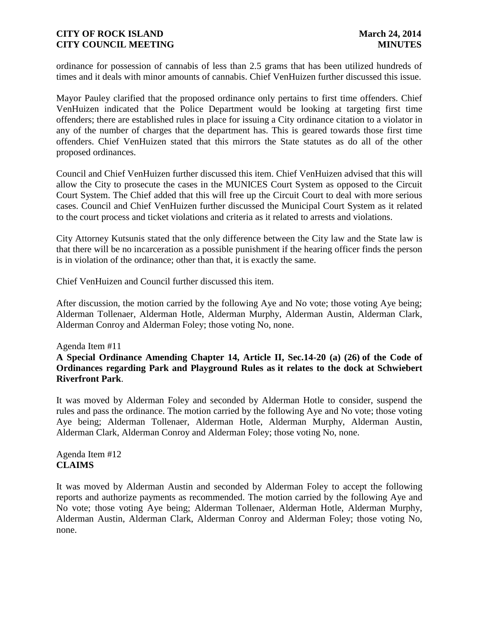ordinance for possession of cannabis of less than 2.5 grams that has been utilized hundreds of times and it deals with minor amounts of cannabis. Chief VenHuizen further discussed this issue.

Mayor Pauley clarified that the proposed ordinance only pertains to first time offenders. Chief VenHuizen indicated that the Police Department would be looking at targeting first time offenders; there are established rules in place for issuing a City ordinance citation to a violator in any of the number of charges that the department has. This is geared towards those first time offenders. Chief VenHuizen stated that this mirrors the State statutes as do all of the other proposed ordinances.

Council and Chief VenHuizen further discussed this item. Chief VenHuizen advised that this will allow the City to prosecute the cases in the MUNICES Court System as opposed to the Circuit Court System. The Chief added that this will free up the Circuit Court to deal with more serious cases. Council and Chief VenHuizen further discussed the Municipal Court System as it related to the court process and ticket violations and criteria as it related to arrests and violations.

City Attorney Kutsunis stated that the only difference between the City law and the State law is that there will be no incarceration as a possible punishment if the hearing officer finds the person is in violation of the ordinance; other than that, it is exactly the same.

Chief VenHuizen and Council further discussed this item.

After discussion, the motion carried by the following Aye and No vote; those voting Aye being; Alderman Tollenaer, Alderman Hotle, Alderman Murphy, Alderman Austin, Alderman Clark, Alderman Conroy and Alderman Foley; those voting No, none.

#### Agenda Item #11

# **A Special Ordinance Amending Chapter 14, Article II, Sec.14-20 (a) (26) of the Code of Ordinances regarding Park and Playground Rules as it relates to the dock at Schwiebert Riverfront Park**.

It was moved by Alderman Foley and seconded by Alderman Hotle to consider, suspend the rules and pass the ordinance. The motion carried by the following Aye and No vote; those voting Aye being; Alderman Tollenaer, Alderman Hotle, Alderman Murphy, Alderman Austin, Alderman Clark, Alderman Conroy and Alderman Foley; those voting No, none.

Agenda Item #12 **CLAIMS**

It was moved by Alderman Austin and seconded by Alderman Foley to accept the following reports and authorize payments as recommended. The motion carried by the following Aye and No vote; those voting Aye being; Alderman Tollenaer, Alderman Hotle, Alderman Murphy, Alderman Austin, Alderman Clark, Alderman Conroy and Alderman Foley; those voting No, none.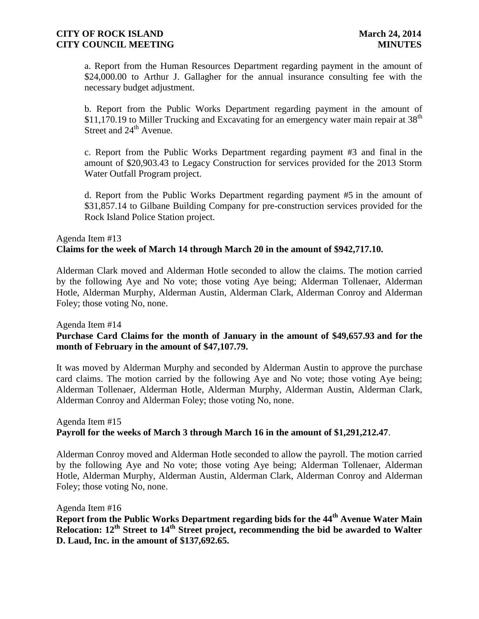a. Report from the Human Resources Department regarding payment in the amount of \$24,000.00 to Arthur J. Gallagher for the annual insurance consulting fee with the necessary budget adjustment.

b. Report from the Public Works Department regarding payment in the amount of \$11,170.19 to Miller Trucking and Excavating for an emergency water main repair at  $38<sup>th</sup>$ Street and  $24<sup>th</sup>$  Avenue.

c. Report from the Public Works Department regarding payment #3 and final in the amount of \$20,903.43 to Legacy Construction for services provided for the 2013 Storm Water Outfall Program project.

d. Report from the Public Works Department regarding payment #5 in the amount of \$31,857.14 to Gilbane Building Company for pre-construction services provided for the Rock Island Police Station project.

# Agenda Item #13 **Claims for the week of March 14 through March 20 in the amount of \$942,717.10.**

Alderman Clark moved and Alderman Hotle seconded to allow the claims. The motion carried by the following Aye and No vote; those voting Aye being; Alderman Tollenaer, Alderman Hotle, Alderman Murphy, Alderman Austin, Alderman Clark, Alderman Conroy and Alderman Foley; those voting No, none.

Agenda Item #14

# **Purchase Card Claims for the month of January in the amount of \$49,657.93 and for the month of February in the amount of \$47,107.79.**

It was moved by Alderman Murphy and seconded by Alderman Austin to approve the purchase card claims. The motion carried by the following Aye and No vote; those voting Aye being; Alderman Tollenaer, Alderman Hotle, Alderman Murphy, Alderman Austin, Alderman Clark, Alderman Conroy and Alderman Foley; those voting No, none.

# Agenda Item #15 **Payroll for the weeks of March 3 through March 16 in the amount of \$1,291,212.47**.

Alderman Conroy moved and Alderman Hotle seconded to allow the payroll. The motion carried by the following Aye and No vote; those voting Aye being; Alderman Tollenaer, Alderman Hotle, Alderman Murphy, Alderman Austin, Alderman Clark, Alderman Conroy and Alderman Foley; those voting No, none.

Agenda Item #16 **Report from the Public Works Department regarding bids for the 44th Avenue Water Main Relocation: 12th Street to 14th Street project, recommending the bid be awarded to Walter D. Laud, Inc. in the amount of \$137,692.65.**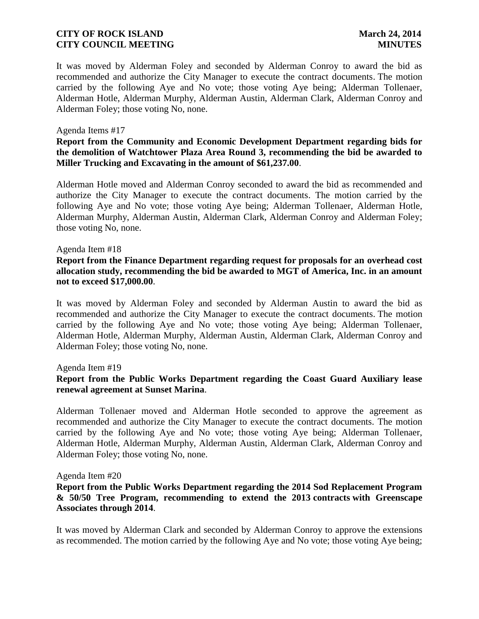It was moved by Alderman Foley and seconded by Alderman Conroy to award the bid as recommended and authorize the City Manager to execute the contract documents. The motion carried by the following Aye and No vote; those voting Aye being; Alderman Tollenaer, Alderman Hotle, Alderman Murphy, Alderman Austin, Alderman Clark, Alderman Conroy and Alderman Foley; those voting No, none.

#### Agenda Items #17

### **Report from the Community and Economic Development Department regarding bids for the demolition of Watchtower Plaza Area Round 3, recommending the bid be awarded to Miller Trucking and Excavating in the amount of \$61,237.00**.

Alderman Hotle moved and Alderman Conroy seconded to award the bid as recommended and authorize the City Manager to execute the contract documents. The motion carried by the following Aye and No vote; those voting Aye being; Alderman Tollenaer, Alderman Hotle, Alderman Murphy, Alderman Austin, Alderman Clark, Alderman Conroy and Alderman Foley; those voting No, none.

#### Agenda Item #18

# **Report from the Finance Department regarding request for proposals for an overhead cost allocation study, recommending the bid be awarded to MGT of America, Inc. in an amount not to exceed \$17,000.00**.

It was moved by Alderman Foley and seconded by Alderman Austin to award the bid as recommended and authorize the City Manager to execute the contract documents. The motion carried by the following Aye and No vote; those voting Aye being; Alderman Tollenaer, Alderman Hotle, Alderman Murphy, Alderman Austin, Alderman Clark, Alderman Conroy and Alderman Foley; those voting No, none.

#### Agenda Item #19

# **Report from the Public Works Department regarding the Coast Guard Auxiliary lease renewal agreement at Sunset Marina**.

Alderman Tollenaer moved and Alderman Hotle seconded to approve the agreement as recommended and authorize the City Manager to execute the contract documents. The motion carried by the following Aye and No vote; those voting Aye being; Alderman Tollenaer, Alderman Hotle, Alderman Murphy, Alderman Austin, Alderman Clark, Alderman Conroy and Alderman Foley; those voting No, none.

#### Agenda Item #20

### **Report from the Public Works Department regarding the 2014 Sod Replacement Program & 50/50 Tree Program, recommending to extend the 2013 contracts with Greenscape Associates through 2014**.

It was moved by Alderman Clark and seconded by Alderman Conroy to approve the extensions as recommended. The motion carried by the following Aye and No vote; those voting Aye being;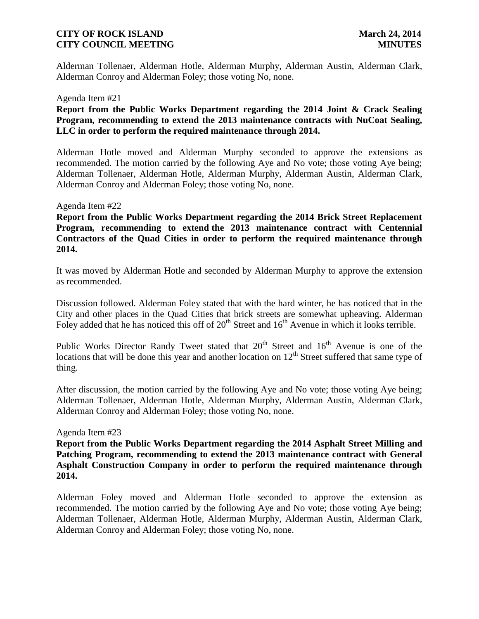Alderman Tollenaer, Alderman Hotle, Alderman Murphy, Alderman Austin, Alderman Clark, Alderman Conroy and Alderman Foley; those voting No, none.

#### Agenda Item #21

# **Report from the Public Works Department regarding the 2014 Joint & Crack Sealing Program, recommending to extend the 2013 maintenance contracts with NuCoat Sealing, LLC in order to perform the required maintenance through 2014.**

Alderman Hotle moved and Alderman Murphy seconded to approve the extensions as recommended. The motion carried by the following Aye and No vote; those voting Aye being; Alderman Tollenaer, Alderman Hotle, Alderman Murphy, Alderman Austin, Alderman Clark, Alderman Conroy and Alderman Foley; those voting No, none.

#### Agenda Item #22

**Report from the Public Works Department regarding the 2014 Brick Street Replacement Program, recommending to extend the 2013 maintenance contract with Centennial Contractors of the Quad Cities in order to perform the required maintenance through 2014.** 

It was moved by Alderman Hotle and seconded by Alderman Murphy to approve the extension as recommended.

Discussion followed. Alderman Foley stated that with the hard winter, he has noticed that in the City and other places in the Quad Cities that brick streets are somewhat upheaving. Alderman Foley added that he has noticed this off of  $20<sup>th</sup>$  Street and  $16<sup>th</sup>$  Avenue in which it looks terrible.

Public Works Director Randy Tweet stated that  $20<sup>th</sup>$  Street and  $16<sup>th</sup>$  Avenue is one of the locations that will be done this year and another location on  $12<sup>th</sup>$  Street suffered that same type of thing.

After discussion, the motion carried by the following Aye and No vote; those voting Aye being; Alderman Tollenaer, Alderman Hotle, Alderman Murphy, Alderman Austin, Alderman Clark, Alderman Conroy and Alderman Foley; those voting No, none.

#### Agenda Item #23

**Report from the Public Works Department regarding the 2014 Asphalt Street Milling and Patching Program, recommending to extend the 2013 maintenance contract with General Asphalt Construction Company in order to perform the required maintenance through 2014.** 

Alderman Foley moved and Alderman Hotle seconded to approve the extension as recommended. The motion carried by the following Aye and No vote; those voting Aye being; Alderman Tollenaer, Alderman Hotle, Alderman Murphy, Alderman Austin, Alderman Clark, Alderman Conroy and Alderman Foley; those voting No, none.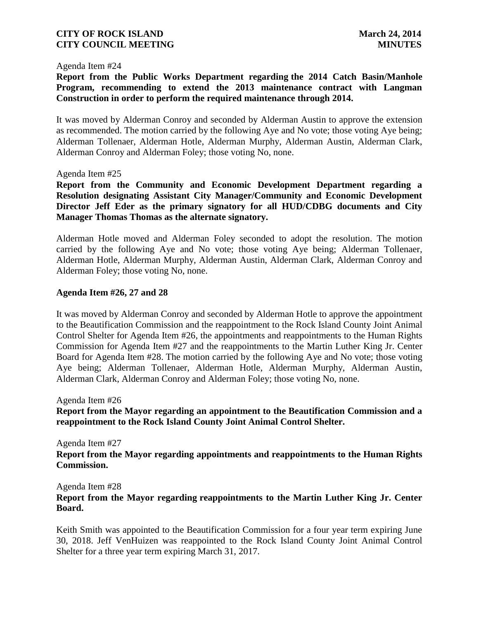#### Agenda Item #24

**Report from the Public Works Department regarding the 2014 Catch Basin/Manhole Program, recommending to extend the 2013 maintenance contract with Langman Construction in order to perform the required maintenance through 2014.**

It was moved by Alderman Conroy and seconded by Alderman Austin to approve the extension as recommended. The motion carried by the following Aye and No vote; those voting Aye being; Alderman Tollenaer, Alderman Hotle, Alderman Murphy, Alderman Austin, Alderman Clark, Alderman Conroy and Alderman Foley; those voting No, none.

#### Agenda Item #25

**Report from the Community and Economic Development Department regarding a Resolution designating Assistant City Manager/Community and Economic Development Director Jeff Eder as the primary signatory for all HUD/CDBG documents and City Manager Thomas Thomas as the alternate signatory.**

Alderman Hotle moved and Alderman Foley seconded to adopt the resolution. The motion carried by the following Aye and No vote; those voting Aye being; Alderman Tollenaer, Alderman Hotle, Alderman Murphy, Alderman Austin, Alderman Clark, Alderman Conroy and Alderman Foley; those voting No, none.

### **Agenda Item #26, 27 and 28**

It was moved by Alderman Conroy and seconded by Alderman Hotle to approve the appointment to the Beautification Commission and the reappointment to the Rock Island County Joint Animal Control Shelter for Agenda Item #26, the appointments and reappointments to the Human Rights Commission for Agenda Item #27 and the reappointments to the Martin Luther King Jr. Center Board for Agenda Item #28. The motion carried by the following Aye and No vote; those voting Aye being; Alderman Tollenaer, Alderman Hotle, Alderman Murphy, Alderman Austin, Alderman Clark, Alderman Conroy and Alderman Foley; those voting No, none.

Agenda Item #26

**Report from the Mayor regarding an appointment to the Beautification Commission and a reappointment to the Rock Island County Joint Animal Control Shelter.**

Agenda Item #27 **Report from the Mayor regarding appointments and reappointments to the Human Rights Commission.**

Agenda Item #28

# **Report from the Mayor regarding reappointments to the Martin Luther King Jr. Center Board.**

Keith Smith was appointed to the Beautification Commission for a four year term expiring June 30, 2018. Jeff VenHuizen was reappointed to the Rock Island County Joint Animal Control Shelter for a three year term expiring March 31, 2017.